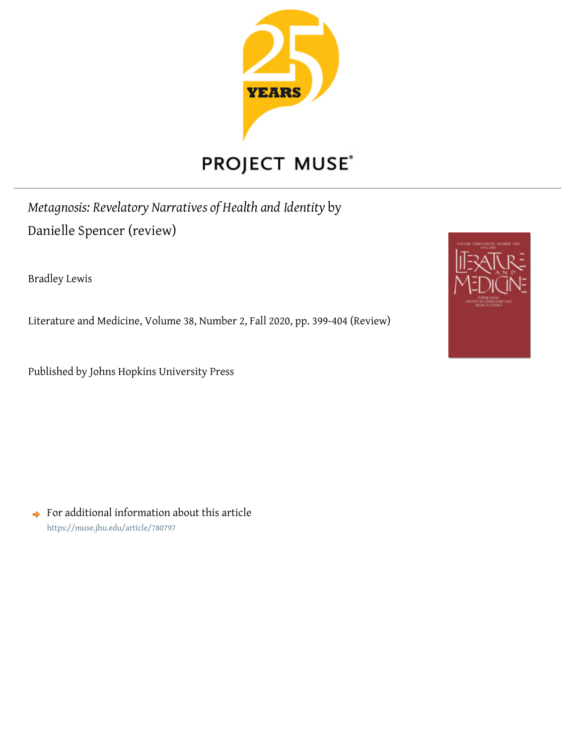

## PROJECT MUSE®

*Metagnosis: Revelatory Narratives of Health and Identity* by Danielle Spencer (review)

Bradley Lewis

Literature and Medicine, Volume 38, Number 2, Fall 2020, pp. 399-404 (Review)

Published by Johns Hopkins University Press



 $\rightarrow$  For additional information about this article <https://muse.jhu.edu/article/780797>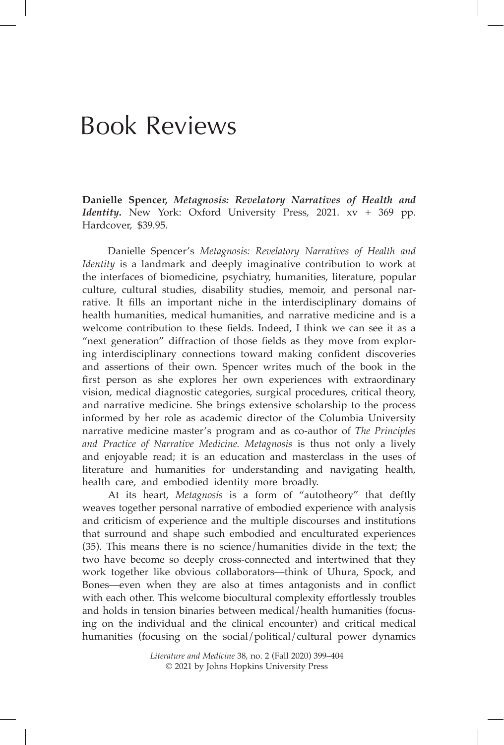## Book Reviews

**Danielle Spencer,** *Metagnosis: Revelatory Narratives of Health and Identity***.** New York: Oxford University Press, 2021. xv + 369 pp. Hardcover, \$39.95.

Danielle Spencer's *Metagnosis: Revelatory Narratives of Health and Identity* is a landmark and deeply imaginative contribution to work at the interfaces of biomedicine, psychiatry, humanities, literature, popular culture, cultural studies, disability studies, memoir, and personal narrative. It fills an important niche in the interdisciplinary domains of health humanities, medical humanities, and narrative medicine and is a welcome contribution to these fields. Indeed, I think we can see it as a "next generation" diffraction of those fields as they move from exploring interdisciplinary connections toward making confident discoveries and assertions of their own. Spencer writes much of the book in the first person as she explores her own experiences with extraordinary vision, medical diagnostic categories, surgical procedures, critical theory, and narrative medicine. She brings extensive scholarship to the process informed by her role as academic director of the Columbia University narrative medicine master's program and as co-author of *The Principles and Practice of Narrative Medicine. Metagnosis* is thus not only a lively and enjoyable read; it is an education and masterclass in the uses of literature and humanities for understanding and navigating health, health care, and embodied identity more broadly.

At its heart, *Metagnosis* is a form of "autotheory" that deftly weaves together personal narrative of embodied experience with analysis and criticism of experience and the multiple discourses and institutions that surround and shape such embodied and enculturated experiences (35). This means there is no science/humanities divide in the text; the two have become so deeply cross-connected and intertwined that they work together like obvious collaborators—think of Uhura, Spock, and Bones—even when they are also at times antagonists and in conflict with each other. This welcome biocultural complexity effortlessly troubles and holds in tension binaries between medical/health humanities (focusing on the individual and the clinical encounter) and critical medical humanities (focusing on the social/political/cultural power dynamics

> *Literature and Medicine* 38, no. 2 (Fall 2020) 399–404 © 2021 by Johns Hopkins University Press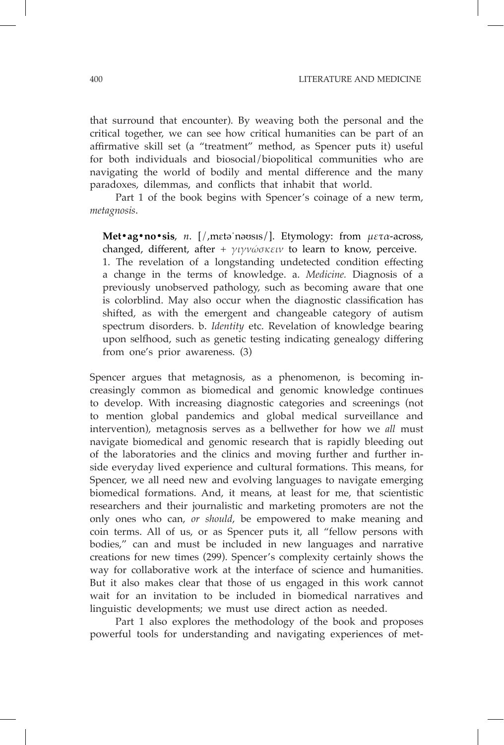that surround that encounter). By weaving both the personal and the critical together, we can see how critical humanities can be part of an affirmative skill set (a "treatment" method, as Spencer puts it) useful for both individuals and biosocial/biopolitical communities who are navigating the world of bodily and mental difference and the many paradoxes, dilemmas, and conflicts that inhabit that world.

Part 1 of the book begins with Spencer's coinage of a new term, *metagnosis*.

**Met•ag•no•sis**, *n*. [/,mɛtəˈnəʊsɪs/]. Etymology: from *μετα*-across, changed, different, after + *γιγνώσκειν* to learn to know, perceive. 1. The revelation of a longstanding undetected condition effecting a change in the terms of knowledge. a. *Medicine.* Diagnosis of a previously unobserved pathology, such as becoming aware that one is colorblind. May also occur when the diagnostic classification has shifted, as with the emergent and changeable category of autism spectrum disorders. b. *Identity* etc. Revelation of knowledge bearing upon selfhood, such as genetic testing indicating genealogy differing from one's prior awareness. (3)

Spencer argues that metagnosis, as a phenomenon, is becoming increasingly common as biomedical and genomic knowledge continues to develop. With increasing diagnostic categories and screenings (not to mention global pandemics and global medical surveillance and intervention), metagnosis serves as a bellwether for how we *all* must navigate biomedical and genomic research that is rapidly bleeding out of the laboratories and the clinics and moving further and further inside everyday lived experience and cultural formations. This means, for Spencer, we all need new and evolving languages to navigate emerging biomedical formations. And, it means, at least for me, that scientistic researchers and their journalistic and marketing promoters are not the only ones who can, *or should*, be empowered to make meaning and coin terms. All of us, or as Spencer puts it, all "fellow persons with bodies," can and must be included in new languages and narrative creations for new times (299). Spencer's complexity certainly shows the way for collaborative work at the interface of science and humanities. But it also makes clear that those of us engaged in this work cannot wait for an invitation to be included in biomedical narratives and linguistic developments; we must use direct action as needed.

Part 1 also explores the methodology of the book and proposes powerful tools for understanding and navigating experiences of met-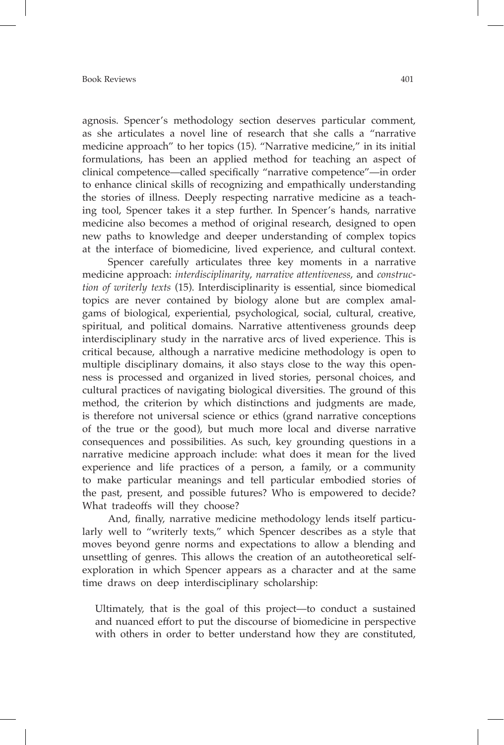agnosis. Spencer's methodology section deserves particular comment, as she articulates a novel line of research that she calls a "narrative medicine approach" to her topics (15). "Narrative medicine," in its initial formulations, has been an applied method for teaching an aspect of clinical competence—called specifically "narrative competence"—in order to enhance clinical skills of recognizing and empathically understanding the stories of illness. Deeply respecting narrative medicine as a teaching tool, Spencer takes it a step further. In Spencer's hands, narrative medicine also becomes a method of original research, designed to open new paths to knowledge and deeper understanding of complex topics at the interface of biomedicine, lived experience, and cultural context.

Spencer carefully articulates three key moments in a narrative medicine approach: *interdisciplinarity*, *narrative attentiveness*, and *construction of writerly texts* (15). Interdisciplinarity is essential, since biomedical topics are never contained by biology alone but are complex amalgams of biological, experiential, psychological, social, cultural, creative, spiritual, and political domains. Narrative attentiveness grounds deep interdisciplinary study in the narrative arcs of lived experience. This is critical because, although a narrative medicine methodology is open to multiple disciplinary domains, it also stays close to the way this openness is processed and organized in lived stories, personal choices, and cultural practices of navigating biological diversities. The ground of this method, the criterion by which distinctions and judgments are made, is therefore not universal science or ethics (grand narrative conceptions of the true or the good), but much more local and diverse narrative consequences and possibilities. As such, key grounding questions in a narrative medicine approach include: what does it mean for the lived experience and life practices of a person, a family, or a community to make particular meanings and tell particular embodied stories of the past, present, and possible futures? Who is empowered to decide? What tradeoffs will they choose?

And, finally, narrative medicine methodology lends itself particularly well to "writerly texts," which Spencer describes as a style that moves beyond genre norms and expectations to allow a blending and unsettling of genres. This allows the creation of an autotheoretical selfexploration in which Spencer appears as a character and at the same time draws on deep interdisciplinary scholarship:

Ultimately, that is the goal of this project—to conduct a sustained and nuanced effort to put the discourse of biomedicine in perspective with others in order to better understand how they are constituted,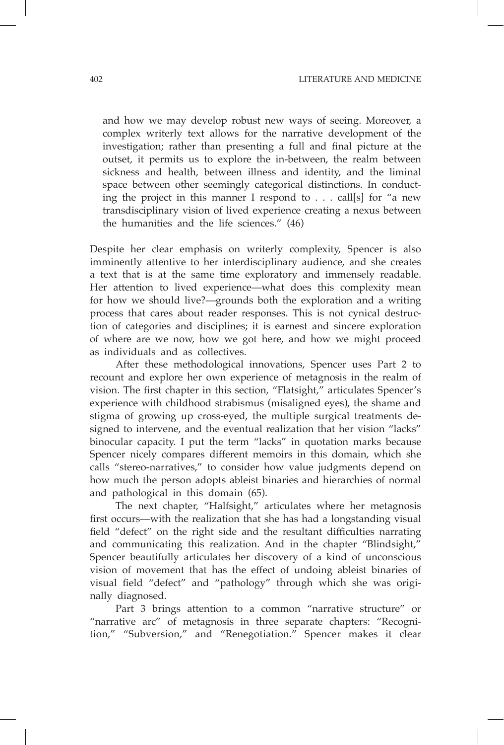and how we may develop robust new ways of seeing. Moreover, a complex writerly text allows for the narrative development of the investigation; rather than presenting a full and final picture at the outset, it permits us to explore the in-between, the realm between sickness and health, between illness and identity, and the liminal space between other seemingly categorical distinctions. In conducting the project in this manner I respond to . . . call[s] for "a new transdisciplinary vision of lived experience creating a nexus between the humanities and the life sciences." (46)

Despite her clear emphasis on writerly complexity, Spencer is also imminently attentive to her interdisciplinary audience, and she creates a text that is at the same time exploratory and immensely readable. Her attention to lived experience—what does this complexity mean for how we should live?—grounds both the exploration and a writing process that cares about reader responses. This is not cynical destruction of categories and disciplines; it is earnest and sincere exploration of where are we now, how we got here, and how we might proceed as individuals and as collectives.

After these methodological innovations, Spencer uses Part 2 to recount and explore her own experience of metagnosis in the realm of vision. The first chapter in this section, "Flatsight," articulates Spencer's experience with childhood strabismus (misaligned eyes), the shame and stigma of growing up cross-eyed, the multiple surgical treatments designed to intervene, and the eventual realization that her vision "lacks" binocular capacity. I put the term "lacks" in quotation marks because Spencer nicely compares different memoirs in this domain, which she calls "stereo-narratives," to consider how value judgments depend on how much the person adopts ableist binaries and hierarchies of normal and pathological in this domain (65).

The next chapter, "Halfsight," articulates where her metagnosis first occurs—with the realization that she has had a longstanding visual field "defect" on the right side and the resultant difficulties narrating and communicating this realization. And in the chapter "Blindsight," Spencer beautifully articulates her discovery of a kind of unconscious vision of movement that has the effect of undoing ableist binaries of visual field "defect" and "pathology" through which she was originally diagnosed.

Part 3 brings attention to a common "narrative structure" or "narrative arc" of metagnosis in three separate chapters: "Recognition," "Subversion," and "Renegotiation." Spencer makes it clear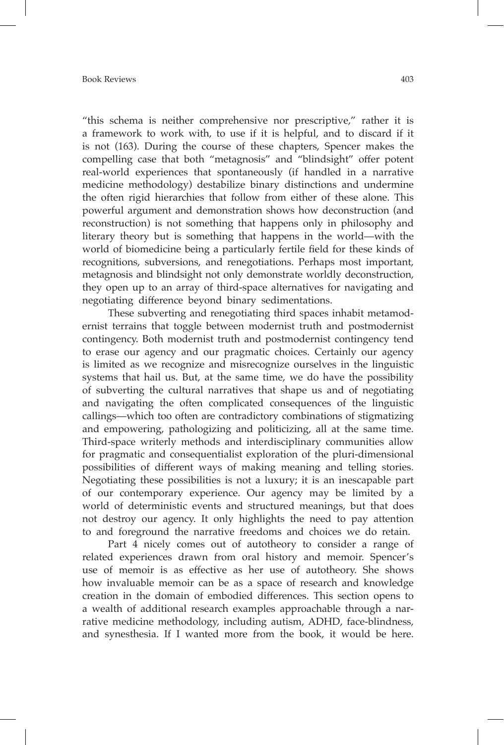"this schema is neither comprehensive nor prescriptive," rather it is a framework to work with, to use if it is helpful, and to discard if it is not (163). During the course of these chapters, Spencer makes the compelling case that both "metagnosis" and "blindsight" offer potent real-world experiences that spontaneously (if handled in a narrative medicine methodology) destabilize binary distinctions and undermine the often rigid hierarchies that follow from either of these alone. This powerful argument and demonstration shows how deconstruction (and reconstruction) is not something that happens only in philosophy and literary theory but is something that happens in the world—with the world of biomedicine being a particularly fertile field for these kinds of recognitions, subversions, and renegotiations. Perhaps most important, metagnosis and blindsight not only demonstrate worldly deconstruction, they open up to an array of third-space alternatives for navigating and negotiating difference beyond binary sedimentations.

These subverting and renegotiating third spaces inhabit metamodernist terrains that toggle between modernist truth and postmodernist contingency. Both modernist truth and postmodernist contingency tend to erase our agency and our pragmatic choices. Certainly our agency is limited as we recognize and misrecognize ourselves in the linguistic systems that hail us. But, at the same time, we do have the possibility of subverting the cultural narratives that shape us and of negotiating and navigating the often complicated consequences of the linguistic callings—which too often are contradictory combinations of stigmatizing and empowering, pathologizing and politicizing, all at the same time. Third-space writerly methods and interdisciplinary communities allow for pragmatic and consequentialist exploration of the pluri-dimensional possibilities of different ways of making meaning and telling stories. Negotiating these possibilities is not a luxury; it is an inescapable part of our contemporary experience. Our agency may be limited by a world of deterministic events and structured meanings, but that does not destroy our agency. It only highlights the need to pay attention to and foreground the narrative freedoms and choices we do retain.

Part 4 nicely comes out of autotheory to consider a range of related experiences drawn from oral history and memoir. Spencer's use of memoir is as effective as her use of autotheory. She shows how invaluable memoir can be as a space of research and knowledge creation in the domain of embodied differences. This section opens to a wealth of additional research examples approachable through a narrative medicine methodology, including autism, ADHD, face-blindness, and synesthesia. If I wanted more from the book, it would be here.